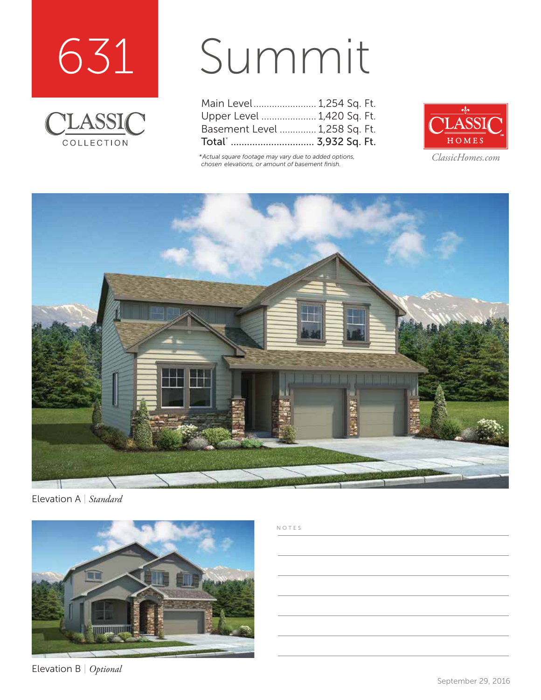



## Summit

| Main Level 1,254 Sq. Ft.      |  |  |
|-------------------------------|--|--|
| Upper Level  1,420 Sq. Ft.    |  |  |
| Basement Level  1,258 Sq. Ft. |  |  |
|                               |  |  |

*\*Actual square footage may vary due to added options, chosen elevations, or amount of basement finish.*



*ClassicHomes.com*



Elevation A | *Standard*



Elevation B | *Optional*

## NOTES

September 29, 2016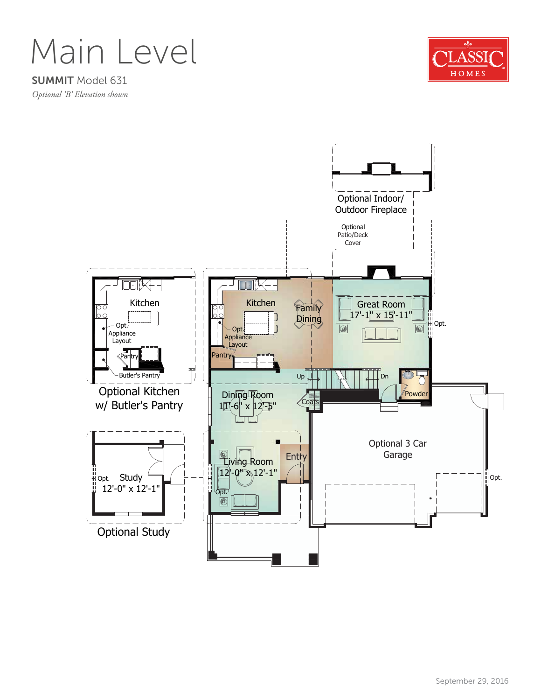Main Level

SUMMIT Model 631 *Optional 'B' Elevation shown*



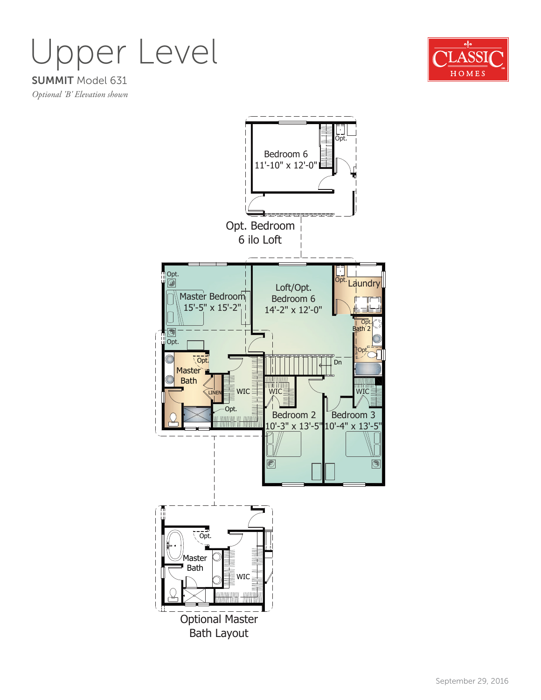SUMMIT Model 631 Upper Level



*Optional 'B' Elevation shown*